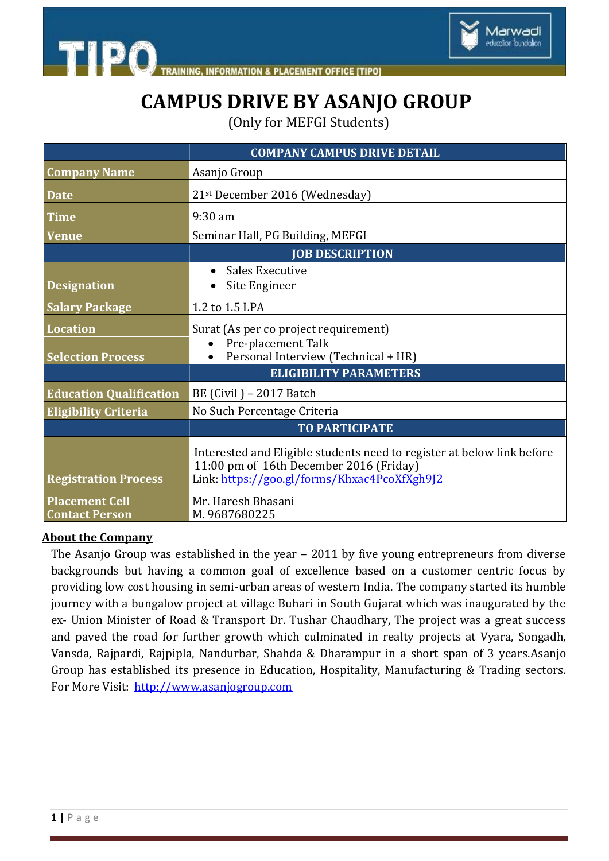

**INFORMATION & PLACEMENT OFFICE [TIPO]** 

## **CAMPUS DRIVE BY ASANJO GROUP**

(Only for MEFGI Students)

|                                                | <b>COMPANY CAMPUS DRIVE DETAIL</b>                                                                                                                                |
|------------------------------------------------|-------------------------------------------------------------------------------------------------------------------------------------------------------------------|
| <b>Company Name</b>                            | Asanjo Group                                                                                                                                                      |
| <b>Date</b>                                    | 21st December 2016 (Wednesday)                                                                                                                                    |
| <b>Time</b>                                    | $9:30$ am                                                                                                                                                         |
| <b>Venue</b>                                   | Seminar Hall, PG Building, MEFGI                                                                                                                                  |
|                                                | <b>JOB DESCRIPTION</b>                                                                                                                                            |
|                                                | Sales Executive                                                                                                                                                   |
| <b>Designation</b>                             | Site Engineer                                                                                                                                                     |
| <b>Salary Package</b>                          | 1.2 to 1.5 LPA                                                                                                                                                    |
| Location                                       | Surat (As per co project requirement)                                                                                                                             |
|                                                | Pre-placement Talk<br>$\bullet$                                                                                                                                   |
| <b>Selection Process</b>                       | Personal Interview (Technical + HR)                                                                                                                               |
|                                                | <b>ELIGIBILITY PARAMETERS</b>                                                                                                                                     |
| <b>Education Qualification</b>                 | BE (Civil) – 2017 Batch                                                                                                                                           |
| <b>Eligibility Criteria</b>                    | No Such Percentage Criteria                                                                                                                                       |
|                                                | <b>TO PARTICIPATE</b>                                                                                                                                             |
| <b>Registration Process</b>                    | Interested and Eligible students need to register at below link before<br>11:00 pm of 16th December 2016 (Friday)<br>Link: https://goo.gl/forms/Khxac4PcoXfXgh9J2 |
| <b>Placement Cell</b><br><b>Contact Person</b> | Mr. Haresh Bhasani<br>M.9687680225                                                                                                                                |

## **About the Company**

**TIPO** 

The Asanjo Group was established in the year – 2011 by five young entrepreneurs from diverse backgrounds but having a common goal of excellence based on a customer centric focus by providing low cost housing in semi-urban areas of western India. The company started its humble journey with a bungalow project at village Buhari in South Gujarat which was inaugurated by the ex- Union Minister of Road & Transport Dr. Tushar Chaudhary, The project was a great success and paved the road for further growth which culminated in realty projects at Vyara, Songadh, Vansda, Rajpardi, Rajpipla, Nandurbar, Shahda & Dharampur in a short span of 3 years.Asanjo Group has established its presence in Education, Hospitality, Manufacturing & Trading sectors. For More Visit: [http://www.asanjogroup.com](http://www.asanjogroup.com/)